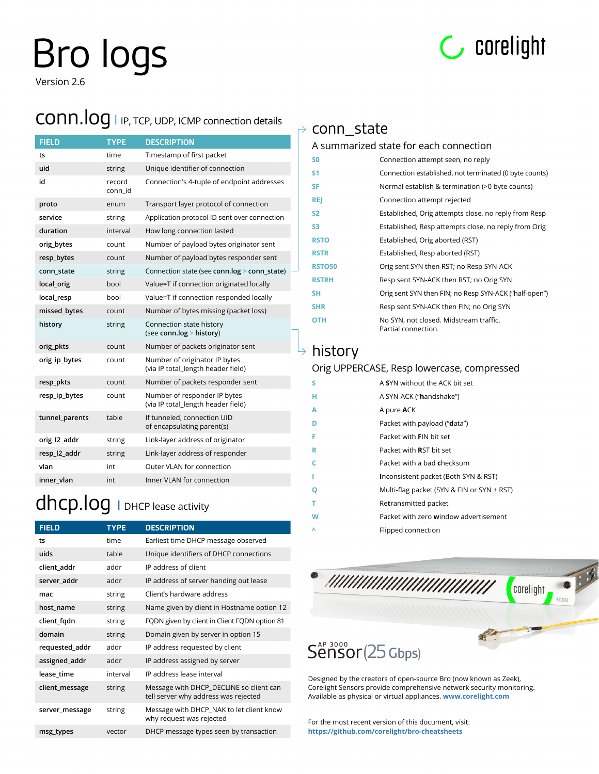# Bro logs



Version 2.6

#### conn.log **<sup>|</sup>** IP, TCP, UDP, ICMP connection details

| <b>FIELD</b>   | <b>TYPE</b>       | <b>DESCRIPTION</b>                                                  |
|----------------|-------------------|---------------------------------------------------------------------|
| ts             | time              | Timestamp of first packet                                           |
| uid            | string            | Unique identifier of connection                                     |
| id             | record<br>conn id | Connection's 4-tuple of endpoint addresses                          |
| proto          | enum              | Transport layer protocol of connection                              |
| service        | string            | Application protocol ID sent over connection                        |
| duration       | interval          | How long connection lasted                                          |
| orig bytes     | count             | Number of payload bytes originator sent                             |
| resp_bytes     | count             | Number of payload bytes responder sent                              |
| conn state     | string            | Connection state (see conn.log > conn_state)                        |
| local_orig     | bool              | Value=T if connection originated locally                            |
| local_resp     | hool              | Value=T if connection responded locally                             |
| missed bytes   | count             | Number of bytes missing (packet loss)                               |
| history        | string            | Connection state history<br>(see conn.log > history)                |
| orig_pkts      | count             | Number of packets originator sent                                   |
| orig ip bytes  | count             | Number of originator IP bytes<br>(via IP total_length header field) |
| resp_pkts      | count             | Number of packets responder sent                                    |
| resp_ip_bytes  | count             | Number of responder IP bytes<br>(via IP total_length header field)  |
| tunnel_parents | table             | If tunneled, connection UID<br>of encapsulating parent(s)           |
| orig_I2_addr   | string            | Link-layer address of originator                                    |
| resp_I2_addr   | string            | Link-layer address of responder                                     |
| vlan           | int               | Outer VLAN for connection                                           |
| inner vlan     | int               | Inner VLAN for connection                                           |

#### dhcp.log **<sup>|</sup>** DHCP lease activity

| <b>FIELD</b>   | <b>TYPE</b> | <b>DESCRIPTION</b>                                                              |
|----------------|-------------|---------------------------------------------------------------------------------|
| ts             | time        | Earliest time DHCP message observed                                             |
| uids           | table       | Unique identifiers of DHCP connections                                          |
| client addr    | addr        | IP address of client                                                            |
| server addr    | addr        | IP address of server handing out lease                                          |
| mac            | string      | Client's hardware address                                                       |
| host name      | string      | Name given by client in Hostname option 12                                      |
| client_fgdn    | string      | FQDN given by client in Client FQDN option 81                                   |
| domain         | string      | Domain given by server in option 15                                             |
| requested_addr | addr        | IP address requested by client                                                  |
| assigned_addr  | addr        | IP address assigned by server                                                   |
| lease time     | interval    | IP address lease interval                                                       |
| client_message | string      | Message with DHCP_DECLINE so client can<br>tell server why address was rejected |
| server_message | string      | Message with DHCP_NAK to let client know<br>why request was rejected            |
| msg_types      | vector      | DHCP message types seen by transaction                                          |

#### $\rightarrow$  conn\_state

#### A summarized state for each connection

| S <sub>0</sub> | Connection attempt seen, no reply                             |
|----------------|---------------------------------------------------------------|
| S1             | Connection established, not terminated (0 byte counts)        |
| SF             | Normal establish & termination (>0 byte counts)               |
| <b>REJ</b>     | Connection attempt rejected                                   |
| S <sub>2</sub> | Established, Orig attempts close, no reply from Resp          |
| S <sub>3</sub> | Established, Resp attempts close, no reply from Orig          |
| <b>RSTO</b>    | Established, Orig aborted (RST)                               |
| <b>RSTR</b>    | Established, Resp aborted (RST)                               |
| <b>RSTOS0</b>  | Orig sent SYN then RST; no Resp SYN-ACK                       |
| <b>RSTRH</b>   | Resp sent SYN-ACK then RST; no Orig SYN                       |
| <b>SH</b>      | Orig sent SYN then FIN; no Resp SYN-ACK ("half-open")         |
| <b>SHR</b>     | Resp sent SYN-ACK then FIN; no Orig SYN                       |
| <b>OTH</b>     | No SYN, not closed. Midstream traffic.<br>Partial connection. |

#### $\overline{\triangleright}$  history

#### Orig UPPERCASE, Resp lowercase, compressed

| S | A SYN without the ACK bit set              |
|---|--------------------------------------------|
| н | A SYN-ACK ("handshake")                    |
| Α | A pure <b>A</b> CK                         |
| D | Packet with payload ("data")               |
| F | Packet with <b>FIN</b> bit set             |
| R | Packet with <b>R</b> ST bit set            |
| c | Packet with a bad <b>c</b> hecksum         |
| L | Inconsistent packet (Both SYN & RST)       |
| Q | Multi-flag packet (SYN & FIN or SYN + RST) |
| т | Retransmitted packet                       |
| W | Packet with zero window advertisement      |
| ٨ | Flipped connection                         |



Designed by the creators of open-source Bro (now known as Zeek), Corelight Sensors provide comprehensive network security monitoring. Available as physical or virtual appliances. **[www.corelight.com](https://www.corelight.com)** 

[For the most recent version of this document, visit:](https://github.com/corelight/bro-cheatsheets) **https://github.com/corelight/bro-cheatsheets**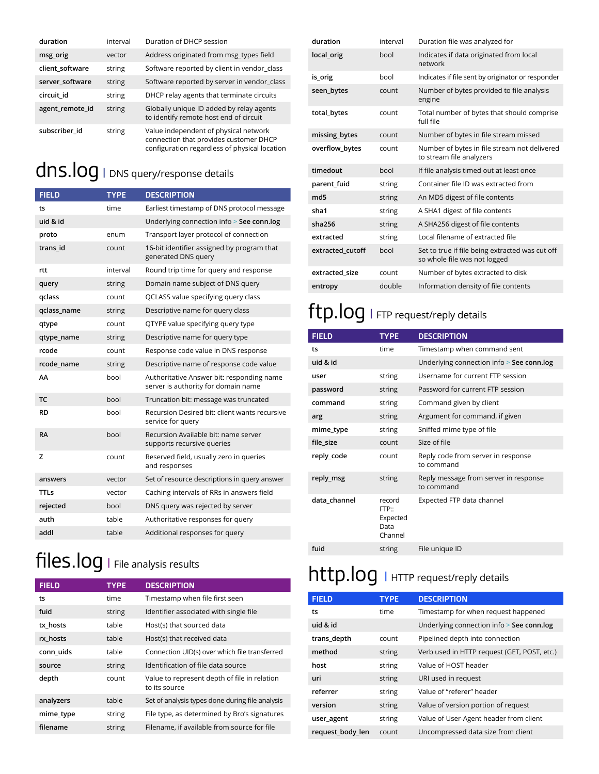| duration        | interval | Duration of DHCP session                                                                                                         |
|-----------------|----------|----------------------------------------------------------------------------------------------------------------------------------|
| msg_orig        | vector   | Address originated from msg_types field                                                                                          |
| client_software | string   | Software reported by client in vendor_class                                                                                      |
| server_software | string   | Software reported by server in vendor_class                                                                                      |
| circuit id      | string   | DHCP relay agents that terminate circuits                                                                                        |
| agent_remote_id | string   | Globally unique ID added by relay agents<br>to identify remote host end of circuit                                               |
| subscriber id   | string   | Value independent of physical network<br>connection that provides customer DHCP<br>configuration regardless of physical location |

## dns.log **<sup>|</sup>** DNS query/response details

| <b>FIELD</b> | <b>TYPE</b> | <b>DESCRIPTION</b>                                                               |
|--------------|-------------|----------------------------------------------------------------------------------|
| ts           | time        | Earliest timestamp of DNS protocol message                                       |
| uid & id     |             | Underlying connection info > See conn.log                                        |
| proto        | enum        | Transport layer protocol of connection                                           |
| trans_id     | count       | 16-bit identifier assigned by program that<br>generated DNS query                |
| rtt          | interval    | Round trip time for query and response                                           |
| query        | string      | Domain name subject of DNS query                                                 |
| qclass       | count       | QCLASS value specifying query class                                              |
| qclass_name  | string      | Descriptive name for query class                                                 |
| qtype        | count       | QTYPE value specifying query type                                                |
| qtype_name   | string      | Descriptive name for query type                                                  |
| rcode        | count       | Response code value in DNS response                                              |
| rcode name   | string      | Descriptive name of response code value                                          |
| AA           | bool        | Authoritative Answer bit: responding name<br>server is authority for domain name |
| <b>TC</b>    | bool        | Truncation bit: message was truncated                                            |
| <b>RD</b>    | bool        | Recursion Desired bit: client wants recursive<br>service for query               |
| <b>RA</b>    | bool        | Recursion Available bit: name server<br>supports recursive queries               |
| z            | count       | Reserved field, usually zero in queries<br>and responses                         |
| answers      | vector      | Set of resource descriptions in query answer                                     |
| TTLs         | vector      | Caching intervals of RRs in answers field                                        |
| rejected     | bool        | DNS query was rejected by server                                                 |
| auth         | table       | Authoritative responses for query                                                |
| addl         | table       | Additional responses for query                                                   |

## files.log | File analysis results

| <b>FIELD</b> | <b>TYPE</b> | <b>DESCRIPTION</b>                                            |
|--------------|-------------|---------------------------------------------------------------|
| ts           | time        | Timestamp when file first seen                                |
| fuid         | string      | Identifier associated with single file                        |
| tx hosts     | table       | Host(s) that sourced data                                     |
| rx hosts     | table       | Host(s) that received data                                    |
| conn uids    | table       | Connection UID(s) over which file transferred                 |
| source       | string      | Identification of file data source                            |
| depth        | count       | Value to represent depth of file in relation<br>to its source |
| analyzers    | table       | Set of analysis types done during file analysis               |
| mime_type    | string      | File type, as determined by Bro's signatures                  |
| filename     | string      | Filename, if available from source for file                   |

| duration         | interval | Duration file was analyzed for                                                  |
|------------------|----------|---------------------------------------------------------------------------------|
| local_orig       | bool     | Indicates if data originated from local<br>network                              |
| is_orig          | hool     | Indicates if file sent by originator or responder                               |
| seen_bytes       | count    | Number of bytes provided to file analysis<br>engine                             |
| total_bytes      | count    | Total number of bytes that should comprise<br>full file                         |
| missing_bytes    | count    | Number of bytes in file stream missed                                           |
| overflow bytes   | count    | Number of bytes in file stream not delivered<br>to stream file analyzers        |
| timedout         | bool     | If file analysis timed out at least once                                        |
| parent_fuid      | string   | Container file ID was extracted from                                            |
| md <sub>5</sub>  | string   | An MD5 digest of file contents                                                  |
| sha1             | string   | A SHA1 digest of file contents                                                  |
| sha256           | string   | A SHA256 digest of file contents                                                |
| extracted        | string   | Local filename of extracted file                                                |
| extracted cutoff | bool     | Set to true if file being extracted was cut off<br>so whole file was not logged |
| extracted size   | count    | Number of bytes extracted to disk                                               |
| entropy          | double   | Information density of file contents                                            |

#### ftp.log **<sup>|</sup>** FTP request/reply details

| <b>FIELD</b> | <b>TYPE</b>                                    | <b>DESCRIPTION</b>                                  |
|--------------|------------------------------------------------|-----------------------------------------------------|
| ts           | time                                           | Timestamp when command sent                         |
| uid & id     |                                                | Underlying connection info > See conn.log           |
| user         | string                                         | Username for current FTP session                    |
| password     | string                                         | Password for current FTP session                    |
| command      | string                                         | Command given by client                             |
| arg          | string                                         | Argument for command, if given                      |
| mime_type    | string                                         | Sniffed mime type of file                           |
| file size    | count                                          | Size of file                                        |
| reply_code   | count                                          | Reply code from server in response<br>to command    |
| reply_msg    | string                                         | Reply message from server in response<br>to command |
| data channel | record<br>FTP::<br>Expected<br>Data<br>Channel | Expected FTP data channel                           |
| fuid         | string                                         | File unique ID                                      |

#### http.log **<sup>|</sup>** HTTP request/reply details

| <b>FIELD</b>     | <b>TYPE</b> | <b>DESCRIPTION</b>                          |
|------------------|-------------|---------------------------------------------|
| ts               | time        | Timestamp for when request happened         |
| uid & id         |             | Underlying connection info > See conn.log   |
| trans_depth      | count       | Pipelined depth into connection             |
| method           | string      | Verb used in HTTP request (GET, POST, etc.) |
| host             | string      | Value of HOST header                        |
| uri              | string      | URI used in request                         |
| referrer         | string      | Value of "referer" header                   |
| version          | string      | Value of version portion of request         |
| user_agent       | string      | Value of User-Agent header from client      |
| request_body_len | count       | Uncompressed data size from client          |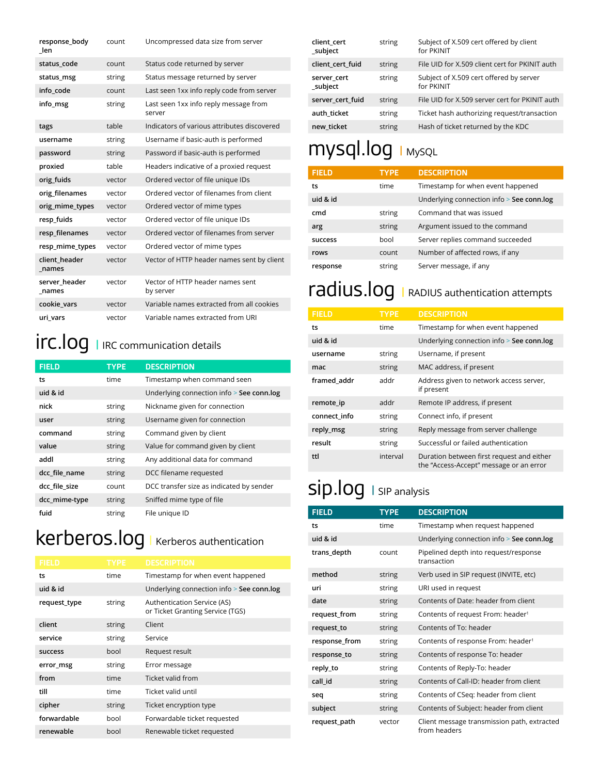| response body<br>len   | count  | Uncompressed data size from server              |
|------------------------|--------|-------------------------------------------------|
| status code            | count  | Status code returned by server                  |
| status_msg             | string | Status message returned by server               |
| info code              | count  | Last seen 1xx info reply code from server       |
| info msg               | string | Last seen 1xx info reply message from<br>server |
| tags                   | table  | Indicators of various attributes discovered     |
| username               | string | Username if basic-auth is performed             |
| password               | string | Password if basic-auth is performed             |
| proxied                | table  | Headers indicative of a proxied request         |
| orig_fuids             | vector | Ordered vector of file unique IDs               |
| orig_filenames         | vector | Ordered vector of filenames from client         |
| orig_mime_types        | vector | Ordered vector of mime types                    |
| resp_fuids             | vector | Ordered vector of file unique IDs               |
| resp_filenames         | vector | Ordered vector of filenames from server         |
| resp_mime_types        | vector | Ordered vector of mime types                    |
| client_header<br>names | vector | Vector of HTTP header names sent by client      |
| server header<br>names | vector | Vector of HTTP header names sent<br>by server   |
| cookie vars            | vector | Variable names extracted from all cookies       |
| uri_vars               | vector | Variable names extracted from URI               |

## irc.log **<sup>|</sup>** IRC communication details

| <b>FIELD</b>  | <b>TYPE</b> | <b>DESCRIPTION</b>                        |
|---------------|-------------|-------------------------------------------|
| ts            | time        | Timestamp when command seen               |
| uid & id      |             | Underlying connection info > See conn.log |
| nick          | string      | Nickname given for connection             |
| user          | string      | Username given for connection             |
| command       | string      | Command given by client                   |
| value         | string      | Value for command given by client         |
| addl          | string      | Any additional data for command           |
| dcc_file_name | string      | DCC filename requested                    |
| dcc_file_size | count       | DCC transfer size as indicated by sender  |
| dcc_mime-type | string      | Sniffed mime type of file                 |
| fuid          | string      | File unique ID                            |

## kerberos.log**<sup>|</sup>** Kerberos authentication

| <b>FIELD</b>   | <b>TYPE</b> | <b>DESCRIPTION</b>                                              |
|----------------|-------------|-----------------------------------------------------------------|
| ts             | time        | Timestamp for when event happened                               |
| uid & id       |             | Underlying connection info > See conn.log                       |
| request_type   | string      | Authentication Service (AS)<br>or Ticket Granting Service (TGS) |
| client         | string      | Client                                                          |
| service        | string      | Service                                                         |
| <b>SUCCESS</b> | hool        | Request result                                                  |
| error_msg      | string      | Error message                                                   |
| from           | time        | Ticket valid from                                               |
| till           | time        | Ticket valid until                                              |
| cipher         | string      | Ticket encryption type                                          |
| forwardable    | hool        |                                                                 |
|                |             | Forwardable ticket requested                                    |

| client cert<br>subject | string | Subject of X.509 cert offered by client<br>for PKINIT |
|------------------------|--------|-------------------------------------------------------|
| client cert fuid       | string | File UID for X.509 client cert for PKINIT auth        |
| server cert<br>subject | string | Subject of X.509 cert offered by server<br>for PKINIT |
| server cert fuid       | string | File UID for X.509 server cert for PKINIT auth        |
| auth ticket            | string | Ticket hash authorizing request/transaction           |
| new ticket             | string | Hash of ticket returned by the KDC                    |

### mysql.log **<sup>|</sup>** MySQL

| <b>FIELD</b>   | <b>TYPE</b> | <b>DESCRIPTION</b>                        |
|----------------|-------------|-------------------------------------------|
| ts             | time        | Timestamp for when event happened         |
| uid & id       |             | Underlying connection info > See conn.log |
| cmd            | string      | Command that was issued                   |
| arg            | string      | Argument issued to the command            |
| <b>SUCCESS</b> | hool        | Server replies command succeeded          |
| rows           | count       | Number of affected rows, if any           |
| response       | string      | Server message, if any                    |

### radius.log **<sup>|</sup>** RADIUS authentication attempts

| <b>FIELD</b> | <b>TYPE</b> | <b>DESCRIPTION</b>                                                                   |
|--------------|-------------|--------------------------------------------------------------------------------------|
| ts           | time        | Timestamp for when event happened                                                    |
| uid & id     |             | Underlying connection info > See conn.log                                            |
| username     | string      | Username, if present                                                                 |
| mac          | string      | MAC address, if present                                                              |
| framed addr  | addr        | Address given to network access server,<br>if present                                |
| remote_ip    | addr        | Remote IP address, if present                                                        |
| connect info | string      | Connect info, if present                                                             |
| reply_msg    | string      | Reply message from server challenge                                                  |
| result       | string      | Successful or failed authentication                                                  |
| ttl          | interval    | Duration between first request and either<br>the "Access-Accept" message or an error |

## sip.log **<sup>|</sup>** SIP analysis

| <b>FIELD</b>  | <b>TYPE</b> | <b>DESCRIPTION</b>                                          |
|---------------|-------------|-------------------------------------------------------------|
| ts            | time        | Timestamp when request happened                             |
| uid & id      |             | Underlying connection info > See conn.log                   |
| trans_depth   | count       | Pipelined depth into request/response<br>transaction        |
| method        | string      | Verb used in SIP request (INVITE, etc)                      |
| uri           | string      | URI used in request                                         |
| date          | string      | Contents of Date: header from client                        |
| request_from  | string      | Contents of request From: header <sup>1</sup>               |
| request_to    | string      | Contents of To: header                                      |
| response_from | string      | Contents of response From: header <sup>1</sup>              |
| response_to   | string      | Contents of response To: header                             |
| reply_to      | string      | Contents of Reply-To: header                                |
| call id       | string      | Contents of Call-ID: header from client                     |
| seg           | string      | Contents of CSeq: header from client                        |
| subject       | string      | Contents of Subject: header from client                     |
| request_path  | vector      | Client message transmission path, extracted<br>from headers |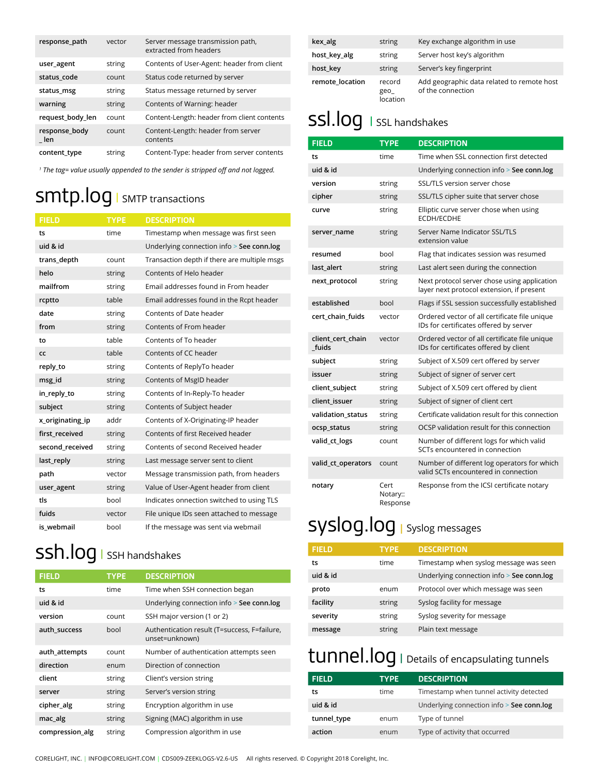| response_path          | vector | Server message transmission path,<br>extracted from headers |
|------------------------|--------|-------------------------------------------------------------|
| user_agent             | string | Contents of User-Agent: header from client                  |
| status code            | count  | Status code returned by server                              |
| status_msg             | string | Status message returned by server                           |
| warning                | string | Contents of Warning: header                                 |
| request_body_len       | count  | Content-Length: header from client contents                 |
| response_body<br>len k | count  | Content-Length: header from server<br>contents              |
| content_type           | string | Content-Type: header from server contents                   |

*1 The tag= value usually appended to the sender is stripped off and not logged.*

## smtp.log **<sup>|</sup>** SMTP transactions

| <b>FIELD</b>     | <b>TYPE</b> | <b>DESCRIPTION</b>                           |
|------------------|-------------|----------------------------------------------|
| ts               | time        | Timestamp when message was first seen        |
| uid & id         |             | Underlying connection info > See conn.log    |
| trans_depth      | count       | Transaction depth if there are multiple msgs |
| helo             | string      | Contents of Helo header                      |
| mailfrom         | string      | Email addresses found in From header         |
| rcptto           | table       | Email addresses found in the Rcpt header     |
| date             | string      | Contents of Date header                      |
| from             | string      | Contents of From header                      |
| to               | table       | Contents of To header                        |
| CC               | table       | Contents of CC header                        |
| reply_to         | string      | Contents of ReplyTo header                   |
| msg id           | string      | Contents of MsgID header                     |
| in_reply_to      | string      | Contents of In-Reply-To header               |
| subject          | string      | Contents of Subject header                   |
| x_originating_ip | addr        | Contents of X-Originating-IP header          |
| first_received   | string      | Contents of first Received header            |
| second_received  | string      | Contents of second Received header           |
| last_reply       | string      | Last message server sent to client           |
| path             | vector      | Message transmission path, from headers      |
| user_agent       | string      | Value of User-Agent header from client       |
| tls              | bool        | Indicates onnection switched to using TLS    |
| fuids            | vector      | File unique IDs seen attached to message     |
| is webmail       | bool        | If the message was sent via webmail          |

### ssh.log **<sup>|</sup>** SSH handshakes

| <b>FIELD</b>    | <b>TYPE</b> | <b>DESCRIPTION</b>                                             |
|-----------------|-------------|----------------------------------------------------------------|
| ts              | time        | Time when SSH connection began                                 |
| uid & id        |             | Underlying connection info > See conn.log                      |
| version         | count       | SSH major version (1 or 2)                                     |
| auth success    | hool        | Authentication result (T=success, F=failure,<br>unset=unknown) |
| auth_attempts   | count       | Number of authentication attempts seen                         |
| direction       | enum        | Direction of connection                                        |
| client          | string      | Client's version string                                        |
| server          | string      | Server's version string                                        |
| cipher_alg      | string      | Encryption algorithm in use                                    |
| mac_alg         | string      | Signing (MAC) algorithm in use                                 |
| compression_alg | string      | Compression algorithm in use                                   |

| kex_alg         | string                    | Key exchange algorithm in use                                   |
|-----------------|---------------------------|-----------------------------------------------------------------|
| host_key_alg    | string                    | Server host key's algorithm                                     |
| host_key        | string                    | Server's key fingerprint                                        |
| remote location | record<br>geo<br>location | Add geographic data related to remote host<br>of the connection |

#### ssl.log **<sup>|</sup>** SSL handshakes

| <b>FIELD</b>               | <b>TYPE</b>                  | <b>DESCRIPTION</b>                                                                        |
|----------------------------|------------------------------|-------------------------------------------------------------------------------------------|
| ts                         | time                         | Time when SSL connection first detected                                                   |
| uid & id                   |                              | Underlying connection info > See conn.log                                                 |
| version                    | string                       | SSL/TLS version server chose                                                              |
| cipher                     | string                       | SSL/TLS cipher suite that server chose                                                    |
| curve                      | string                       | Elliptic curve server chose when using<br><b>ECDH/ECDHE</b>                               |
| server name                | string                       | Server Name Indicator SSL/TLS<br>extension value                                          |
| resumed                    | bool                         | Flag that indicates session was resumed                                                   |
| last alert                 | string                       | Last alert seen during the connection                                                     |
| next_protocol              | string                       | Next protocol server chose using application<br>layer next protocol extension, if present |
| established                | bool                         | Flags if SSL session successfully established                                             |
| cert_chain_fuids           | vector                       | Ordered vector of all certificate file unique<br>IDs for certificates offered by server   |
| client cert chain<br>fuids | vector                       | Ordered vector of all certificate file unique<br>IDs for certificates offered by client   |
| subject                    | string                       | Subject of X.509 cert offered by server                                                   |
| issuer                     | string                       | Subject of signer of server cert                                                          |
| client_subject             | string                       | Subject of X.509 cert offered by client                                                   |
| client issuer              | string                       | Subject of signer of client cert                                                          |
| validation status          | string                       | Certificate validation result for this connection                                         |
| ocsp_status                | string                       | OCSP validation result for this connection                                                |
| valid_ct_logs              | count                        | Number of different logs for which valid<br>SCTs encountered in connection                |
| valid_ct_operators         | count                        | Number of different log operators for which<br>valid SCTs encountered in connection       |
| notary                     | Cert<br>Notary::<br>Response | Response from the ICSI certificate notary                                                 |

### syslog.log **<sup>|</sup>** Syslog messages

| <b>FIELD</b> | <b>TYPE</b> | <b>DESCRIPTION</b>                        |
|--------------|-------------|-------------------------------------------|
| ts           | time        | Timestamp when syslog message was seen    |
| uid & id     |             | Underlying connection info > See conn.log |
| proto        | enum        | Protocol over which message was seen      |
| facility     | string      | Syslog facility for message               |
| severity     | string      | Syslog severity for message               |
| message      | string      | Plain text message                        |

#### tunnel.log **<sup>|</sup>** Details of encapsulating tunnels

| <b>FIELD</b> | <b>TYPE</b> | <b>DESCRIPTION</b>                        |
|--------------|-------------|-------------------------------------------|
| ts           | time        | Timestamp when tunnel activity detected   |
| uid & id     |             | Underlying connection info > See conn.log |
| tunnel_type  | enum        | Type of tunnel                            |
| action       | enum        | Type of activity that occurred            |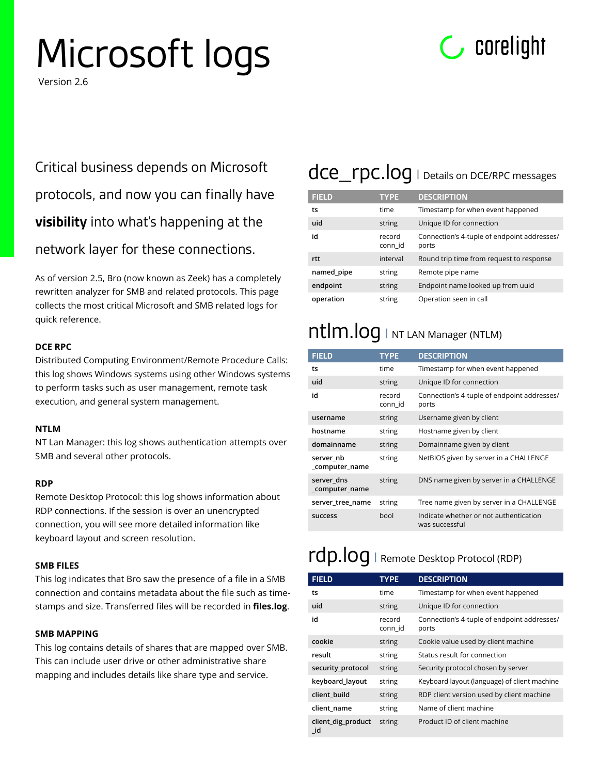# Microsoft logs



Version 2.6

Critical business depends on Microsoft protocols, and now you can finally have **visibility** into what's happening at the network layer for these connections.

As of version 2.5, Bro (now known as Zeek) has a completely rewritten analyzer for SMB and related protocols. This page collects the most critical Microsoft and SMB related logs for quick reference.

#### **DCE RPC**

Distributed Computing Environment/Remote Procedure Calls: this log shows Windows systems using other Windows systems to perform tasks such as user management, remote task execution, and general system management.

#### **NTLM**

NT Lan Manager: this log shows authentication attempts over SMB and several other protocols.

#### **RDP**

Remote Desktop Protocol: this log shows information about RDP connections. If the session is over an unencrypted connection, you will see more detailed information like keyboard layout and screen resolution.

#### **SMB FILES**

This log indicates that Bro saw the presence of a file in a SMB connection and contains metadata about the file such as timestamps and size. Transferred files will be recorded in **files.log**.

#### **SMB MAPPING**

This log contains details of shares that are mapped over SMB. This can include user drive or other administrative share mapping and includes details like share type and service.

#### dce\_rpc.log **<sup>|</sup>** Details on DCE/RPC messages

| <b>FIELD</b> | <b>TYPE</b>       | <b>DESCRIPTION</b>                                   |
|--------------|-------------------|------------------------------------------------------|
| ts           | time              | Timestamp for when event happened                    |
| uid          | string            | Unique ID for connection                             |
| id           | record<br>conn id | Connection's 4-tuple of endpoint addresses/<br>ports |
| rtt          | interval          | Round trip time from request to response             |
| named_pipe   | string            | Remote pipe name                                     |
| endpoint     | string            | Endpoint name looked up from uuid                    |
| operation    | string            | Operation seen in call                               |

#### ntlm.log **<sup>|</sup>** NT LAN Manager (NTLM)

| <b>FIELD</b>                 | <b>TYPE</b>       | <b>DESCRIPTION</b>                                       |
|------------------------------|-------------------|----------------------------------------------------------|
| ts                           | time              | Timestamp for when event happened                        |
| uid                          | string            | Unique ID for connection                                 |
| id                           | record<br>conn id | Connection's 4-tuple of endpoint addresses/<br>ports     |
| username                     | string            | Username given by client                                 |
| hostname                     | string            | Hostname given by client                                 |
| domainname                   | string            | Domainname given by client                               |
| server nb<br>_computer_name  | string            | NetBIOS given by server in a CHALLENGE                   |
| server dns<br>_computer_name | string            | DNS name given by server in a CHALLENGE                  |
| server tree name             | string            | Tree name given by server in a CHALLENGE                 |
| success                      | hool              | Indicate whether or not authentication<br>was successful |

#### rdp.log **<sup>|</sup>** Remote Desktop Protocol (RDP)

| <b>FIELD</b>             | <b>TYPE</b>       | <b>DESCRIPTION</b>                                   |
|--------------------------|-------------------|------------------------------------------------------|
| ts                       | time              | Timestamp for when event happened                    |
| uid                      | string            | Unique ID for connection                             |
| id                       | record<br>conn id | Connection's 4-tuple of endpoint addresses/<br>ports |
| cookie                   | string            | Cookie value used by client machine                  |
| result                   | string            | Status result for connection                         |
| security_protocol        | string            | Security protocol chosen by server                   |
| keyboard layout          | string            | Keyboard layout (language) of client machine         |
| client build             | string            | RDP client version used by client machine            |
| client name              | string            | Name of client machine                               |
| client_dig_product<br>id | string            | Product ID of client machine                         |